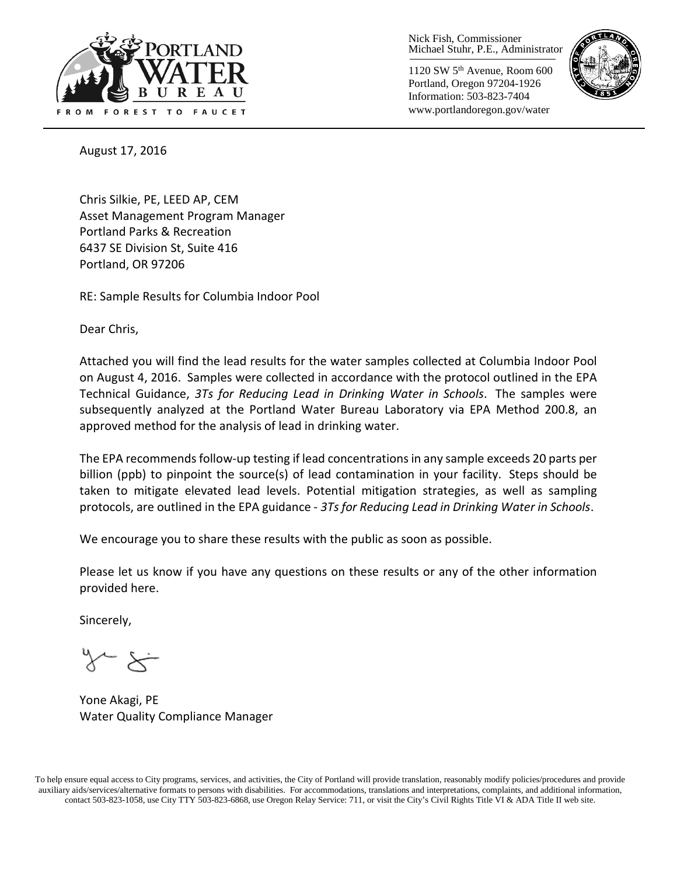

Nick Fish, Commissioner Michael Stuhr, P.E., Administrator

1120 SW 5th Avenue, Room 600 Portland, Oregon 97204-1926 Information: 503-823-7404 www.portlandoregon.gov/water



August 17, 2016

Chris Silkie, PE, LEED AP, CEM Asset Management Program Manager Portland Parks & Recreation 6437 SE Division St, Suite 416 Portland, OR 97206

RE: Sample Results for Columbia Indoor Pool

Dear Chris,

Attached you will find the lead results for the water samples collected at Columbia Indoor Pool on August 4, 2016. Samples were collected in accordance with the protocol outlined in the EPA Technical Guidance, *3Ts for Reducing Lead in Drinking Water in Schools*. The samples were subsequently analyzed at the Portland Water Bureau Laboratory via EPA Method 200.8, an approved method for the analysis of lead in drinking water.

The EPA recommends follow-up testing if lead concentrations in any sample exceeds 20 parts per billion (ppb) to pinpoint the source(s) of lead contamination in your facility. Steps should be taken to mitigate elevated lead levels. Potential mitigation strategies, as well as sampling protocols, are outlined in the EPA guidance - *3Ts for Reducing Lead in Drinking Water in Schools*.

We encourage you to share these results with the public as soon as possible.

Please let us know if you have any questions on these results or any of the other information provided here.

Sincerely,

Yone Akagi, PE Water Quality Compliance Manager

To help ensure equal access to City programs, services, and activities, the City of Portland will provide translation, reasonably modify policies/procedures and provide auxiliary aids/services/alternative formats to persons with disabilities. For accommodations, translations and interpretations, complaints, and additional information, contact 503-823-1058, use City TTY 503-823-6868, use Oregon Relay Service: 711, or visi[t the City's Civil Rights Title VI & ADA Title II web site.](http://www.portlandoregon.gov/oehr/66458)